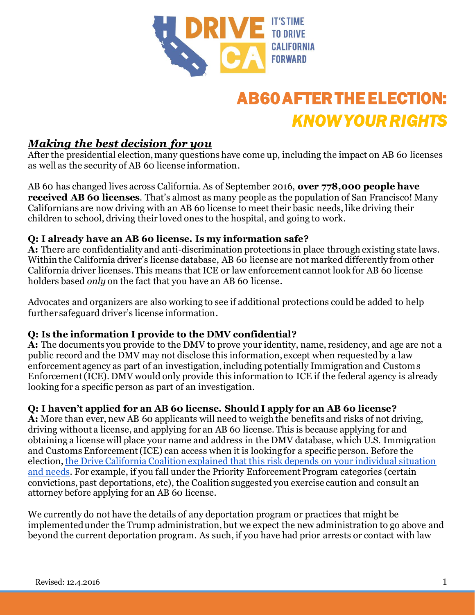

# AB60 AFTER THE ELECTION: *KNOW YOUR RIGHTS*

## *Making the best decision for you*

After the presidential election, many questions have come up, including the impact on AB 60 licenses as well as the security of AB 60 license information.

AB 60 has changed lives across California. As of September 2016, **over 778,000 people have received AB 60 licenses**. That's almost as many people as the population of San Francisco! Many Californians are now driving with an AB 60 license to meet their basic needs, like driving their children to school, driving their loved ones to the hospital, and going to work.

#### **Q: I already have an AB 60 license. Is my information safe?**

**A:** There are confidentiality and anti-discrimination protections in place through existing state laws. Within the California driver's license database, AB 60 license are not marked differently from other California driver licenses. This means that ICE or law enforcement cannot look for AB 60 license holders based *only* on the fact that you have an AB 60 license.

Advocates and organizers are also working to see if additional protections could be added to help further safeguard driver's license information.

#### **Q: Is the information I provide to the DMV confidential?**

**A:** The documents you provide to the DMV to prove your identity, name, residency, and age are not a public record and the DMV may not disclose this information, except when requested by a law enforcement agency as part of an investigation, including potentially Immigration and Customs Enforcement (ICE). DMV would only provide this information to ICE if the federal agency is already looking for a specific person as part of an investigation.

#### **Q: I haven't applied for an AB 60 license. Should I apply for an AB 60 license?**

**A:** More than ever, new AB 60 applicants will need to weigh the benefits and risks of not driving, driving without a license, and applying for an AB 60 license. This is because applying for and obtaining a license will place your name and address in the DMV database, which U.S. Immigration and Customs Enforcement (ICE) can access when it is looking for a specific person. Before the election, [the Drive California Coalition explained that this risk depends on your individual situation](http://driveca.org/should-i-apply-for-an-ab-60-license/)  [and needs.](http://driveca.org/should-i-apply-for-an-ab-60-license/) For example, if you fall under the Priority Enforcement Program categories (certain convictions, past deportations, etc), the Coalition suggested you exercise caution and consult an attorney before applying for an AB 60 license.

We currently do not have the details of any deportation program or practices that might be implemented under the Trump administration, but we expect the new administration to go above and beyond the current deportation program. As such, if you have had prior arrests or contact with law